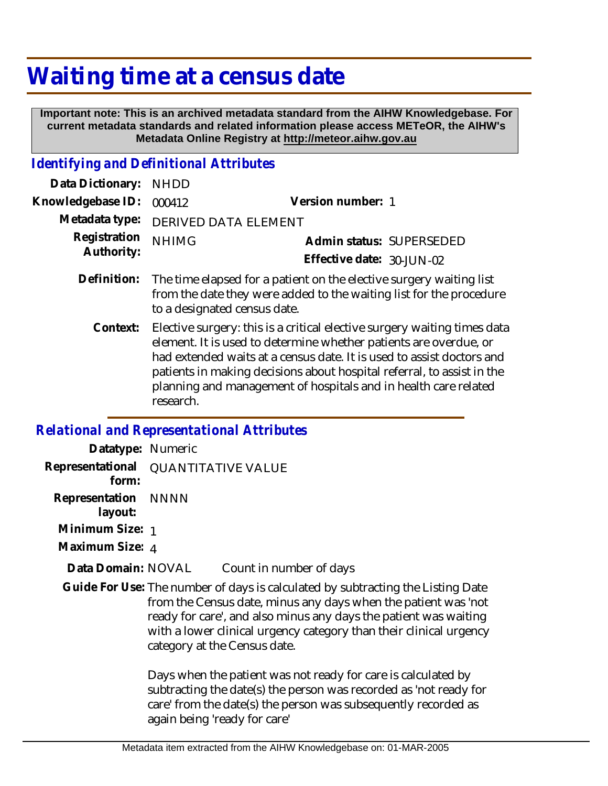## **Waiting time at a census date**

 **Important note: This is an archived metadata standard from the AIHW Knowledgebase. For current metadata standards and related information please access METeOR, the AIHW's Metadata Online Registry at http://meteor.aihw.gov.au**

## *Identifying and Definitional Attributes*

| Data Dictionary:           | <b>NHDD</b>                                                                                                                                                                                                                                                                                      |                           |
|----------------------------|--------------------------------------------------------------------------------------------------------------------------------------------------------------------------------------------------------------------------------------------------------------------------------------------------|---------------------------|
| Knowledgebase ID:          | 000412                                                                                                                                                                                                                                                                                           | Version number: 1         |
| Metadata type:             | DERIVED DATA ELEMENT                                                                                                                                                                                                                                                                             |                           |
| Registration<br>Authority: | <b>NHIMG</b>                                                                                                                                                                                                                                                                                     | Admin status: SUPERSEDED  |
|                            |                                                                                                                                                                                                                                                                                                  | Effective date: 30-JUN-02 |
| Definition:                | The time elapsed for a patient on the elective surgery waiting list<br>from the date they were added to the waiting list for the procedure<br>to a designated census date.                                                                                                                       |                           |
| Context:                   | Elective surgery: this is a critical elective surgery waiting times data<br>element. It is used to determine whether patients are overdue, or<br>had extended waits at a census date. It is used to assist doctors and<br>patients in making decisions about hospital referral, to assist in the |                           |

planning and management of hospitals and in health care related

*Relational and Representational Attributes*

research.

| Datatype: Numeric              |                                                                                                                                                                                                                                                                                                                             |                                                                                                                                                                                                      |  |
|--------------------------------|-----------------------------------------------------------------------------------------------------------------------------------------------------------------------------------------------------------------------------------------------------------------------------------------------------------------------------|------------------------------------------------------------------------------------------------------------------------------------------------------------------------------------------------------|--|
| form:                          | Representational QUANTITATIVE VALUE                                                                                                                                                                                                                                                                                         |                                                                                                                                                                                                      |  |
| Representation NNNN<br>layout: |                                                                                                                                                                                                                                                                                                                             |                                                                                                                                                                                                      |  |
| Minimum Size: 1                |                                                                                                                                                                                                                                                                                                                             |                                                                                                                                                                                                      |  |
| Maximum Size: 4                |                                                                                                                                                                                                                                                                                                                             |                                                                                                                                                                                                      |  |
| Data Domain: NOVAL             |                                                                                                                                                                                                                                                                                                                             | Count in number of days                                                                                                                                                                              |  |
|                                | Guide For Use: The number of days is calculated by subtracting the Listing Date<br>from the Census date, minus any days when the patient was 'not<br>ready for care', and also minus any days the patient was waiting<br>with a lower clinical urgency category than their clinical urgency<br>category at the Census date. |                                                                                                                                                                                                      |  |
|                                |                                                                                                                                                                                                                                                                                                                             | Days when the patient was not ready for care is calculated by<br>subtracting the date(s) the person was recorded as 'not ready for<br>care' from the date(s) the person was subsequently recorded as |  |

again being 'ready for care'